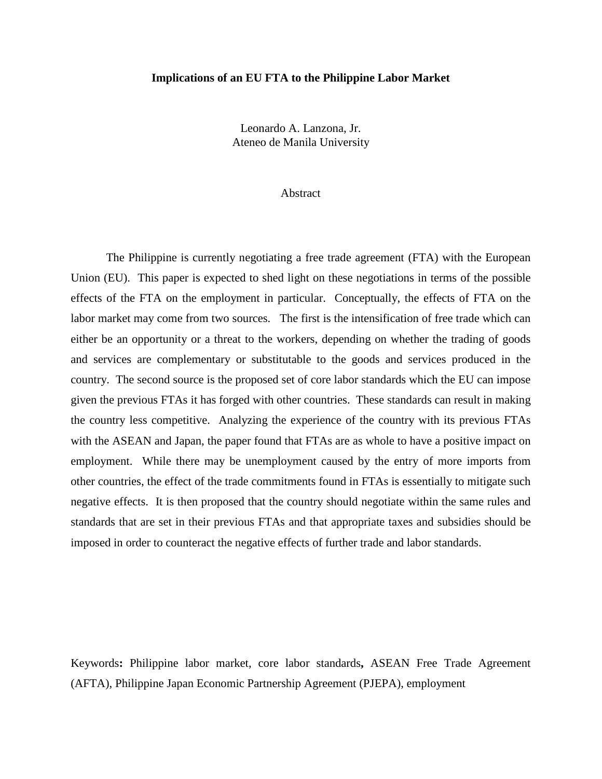# **Implications of an EU FTA to the Philippine Labor Market**

Leonardo A. Lanzona, Jr. Ateneo de Manila University

#### Abstract

The Philippine is currently negotiating a free trade agreement (FTA) with the European Union (EU). This paper is expected to shed light on these negotiations in terms of the possible effects of the FTA on the employment in particular. Conceptually, the effects of FTA on the labor market may come from two sources. The first is the intensification of free trade which can either be an opportunity or a threat to the workers, depending on whether the trading of goods and services are complementary or substitutable to the goods and services produced in the country. The second source is the proposed set of core labor standards which the EU can impose given the previous FTAs it has forged with other countries. These standards can result in making the country less competitive. Analyzing the experience of the country with its previous FTAs with the ASEAN and Japan, the paper found that FTAs are as whole to have a positive impact on employment. While there may be unemployment caused by the entry of more imports from other countries, the effect of the trade commitments found in FTAs is essentially to mitigate such negative effects. It is then proposed that the country should negotiate within the same rules and standards that are set in their previous FTAs and that appropriate taxes and subsidies should be imposed in order to counteract the negative effects of further trade and labor standards.

Keywords**:** Philippine labor market, core labor standards**,** ASEAN Free Trade Agreement (AFTA), Philippine Japan Economic Partnership Agreement (PJEPA), employment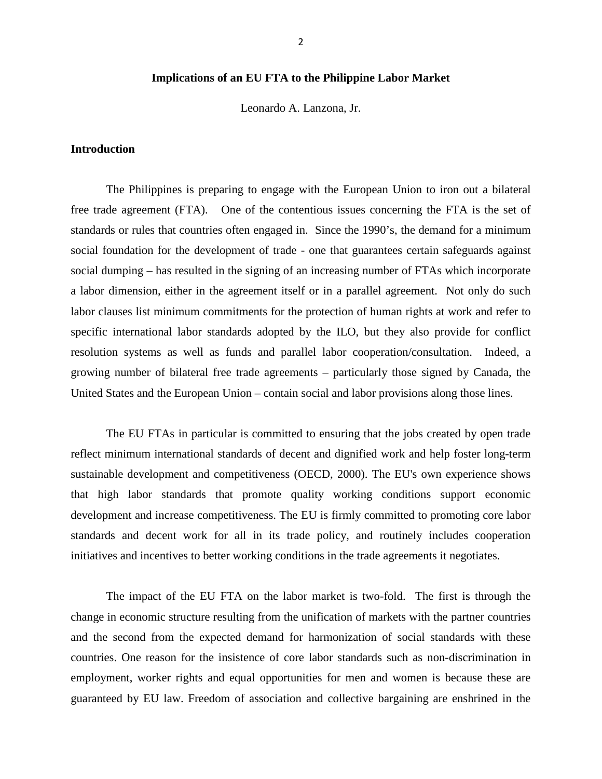# **Implications of an EU FTA to the Philippine Labor Market**

Leonardo A. Lanzona, Jr.

# **Introduction**

The Philippines is preparing to engage with the European Union to iron out a bilateral free trade agreement (FTA). One of the contentious issues concerning the FTA is the set of standards or rules that countries often engaged in. Since the 1990's, the demand for a minimum social foundation for the development of trade - one that guarantees certain safeguards against social dumping – has resulted in the signing of an increasing number of FTAs which incorporate a labor dimension, either in the agreement itself or in a parallel agreement. Not only do such labor clauses list minimum commitments for the protection of human rights at work and refer to specific international labor standards adopted by the ILO, but they also provide for conflict resolution systems as well as funds and parallel labor cooperation/consultation. Indeed, a growing number of bilateral free trade agreements – particularly those signed by Canada, the United States and the European Union – contain social and labor provisions along those lines.

The EU FTAs in particular is committed to ensuring that the jobs created by open trade reflect minimum international standards of decent and dignified work and help foster long-term sustainable development and competitiveness (OECD, 2000). The EU's own experience shows that high labor standards that promote quality working conditions support economic development and increase competitiveness. The EU is firmly committed to promoting core labor standards and decent work for all in its trade policy, and routinely includes cooperation initiatives and incentives to better working conditions in the trade agreements it negotiates.

The impact of the EU FTA on the labor market is two-fold. The first is through the change in economic structure resulting from the unification of markets with the partner countries and the second from the expected demand for harmonization of social standards with these countries. One reason for the insistence of core labor standards such as non-discrimination in employment, worker rights and equal opportunities for men and women is because these are guaranteed by EU law. Freedom of association and collective bargaining are enshrined in the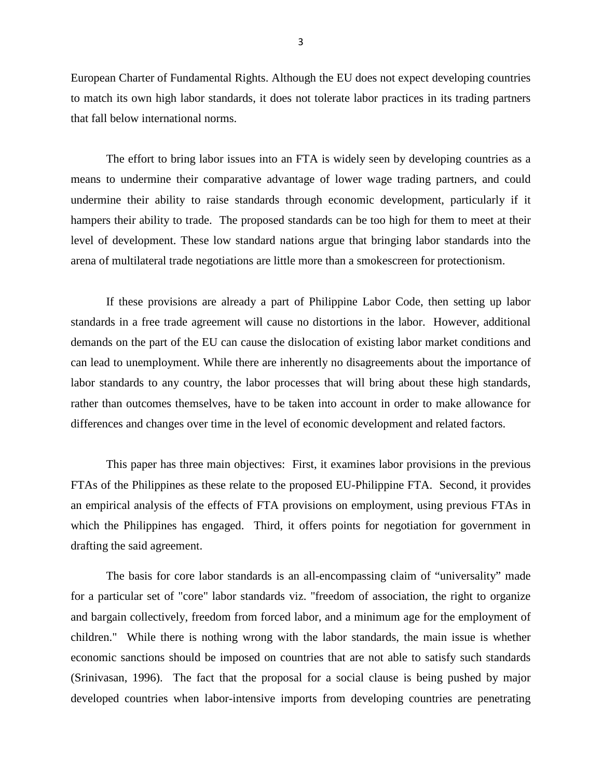European Charter of Fundamental Rights. Although the EU does not expect developing countries to match its own high labor standards, it does not tolerate labor practices in its trading partners that fall below international norms.

The effort to bring labor issues into an FTA is widely seen by developing countries as a means to undermine their comparative advantage of lower wage trading partners, and could undermine their ability to raise standards through economic development, particularly if it hampers their ability to trade. The proposed standards can be too high for them to meet at their level of development. These low standard nations argue that bringing labor standards into the arena of multilateral trade negotiations are little more than a smokescreen for protectionism.

If these provisions are already a part of Philippine Labor Code, then setting up labor standards in a free trade agreement will cause no distortions in the labor. However, additional demands on the part of the EU can cause the dislocation of existing labor market conditions and can lead to unemployment. While there are inherently no disagreements about the importance of labor standards to any country, the labor processes that will bring about these high standards, rather than outcomes themselves, have to be taken into account in order to make allowance for differences and changes over time in the level of economic development and related factors.

This paper has three main objectives: First, it examines labor provisions in the previous FTAs of the Philippines as these relate to the proposed EU-Philippine FTA. Second, it provides an empirical analysis of the effects of FTA provisions on employment, using previous FTAs in which the Philippines has engaged. Third, it offers points for negotiation for government in drafting the said agreement.

The basis for core labor standards is an all-encompassing claim of "universality" made for a particular set of "core" labor standards viz. "freedom of association, the right to organize and bargain collectively, freedom from forced labor, and a minimum age for the employment of children." While there is nothing wrong with the labor standards, the main issue is whether economic sanctions should be imposed on countries that are not able to satisfy such standards (Srinivasan, 1996). The fact that the proposal for a social clause is being pushed by major developed countries when labor-intensive imports from developing countries are penetrating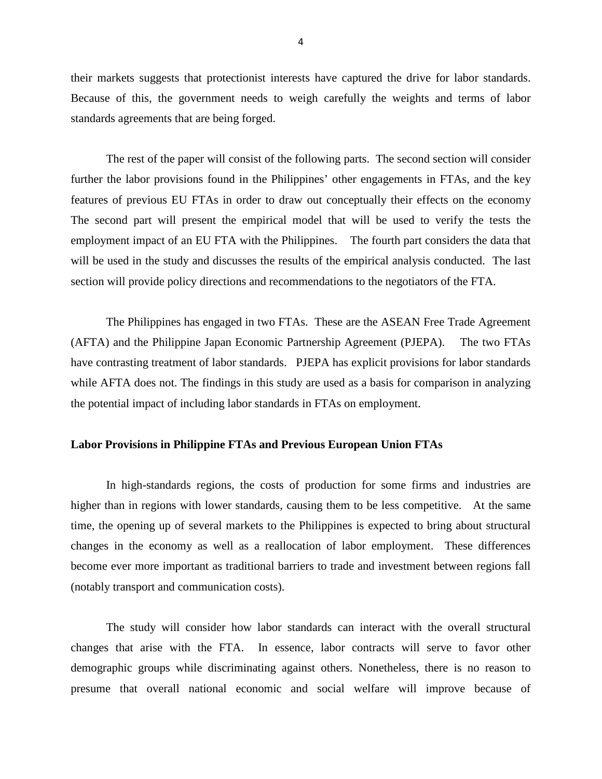their markets suggests that protectionist interests have captured the drive for labor standards. Because of this, the government needs to weigh carefully the weights and terms of labor standards agreements that are being forged.

The rest of the paper will consist of the following parts. The second section will consider further the labor provisions found in the Philippines' other engagements in FTAs, and the key features of previous EU FTAs in order to draw out conceptually their effects on the economy The second part will present the empirical model that will be used to verify the tests the employment impact of an EU FTA with the Philippines. The fourth part considers the data that will be used in the study and discusses the results of the empirical analysis conducted. The last section will provide policy directions and recommendations to the negotiators of the FTA.

The Philippines has engaged in two FTAs. These are the ASEAN Free Trade Agreement (AFTA) and the Philippine Japan Economic Partnership Agreement (PJEPA). The two FTAs have contrasting treatment of labor standards. PJEPA has explicit provisions for labor standards while AFTA does not. The findings in this study are used as a basis for comparison in analyzing the potential impact of including labor standards in FTAs on employment.

# **Labor Provisions in Philippine FTAs and Previous European Union FTAs**

In high-standards regions, the costs of production for some firms and industries are higher than in regions with lower standards, causing them to be less competitive. At the same time, the opening up of several markets to the Philippines is expected to bring about structural changes in the economy as well as a reallocation of labor employment. These differences become ever more important as traditional barriers to trade and investment between regions fall (notably transport and communication costs).

The study will consider how labor standards can interact with the overall structural changes that arise with the FTA. In essence, labor contracts will serve to favor other demographic groups while discriminating against others. Nonetheless, there is no reason to presume that overall national economic and social welfare will improve because of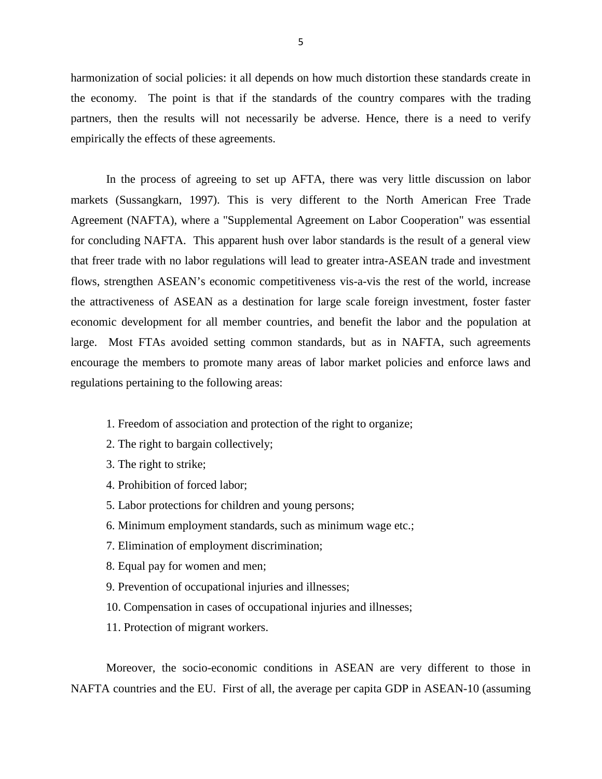harmonization of social policies: it all depends on how much distortion these standards create in the economy. The point is that if the standards of the country compares with the trading partners, then the results will not necessarily be adverse. Hence, there is a need to verify empirically the effects of these agreements.

In the process of agreeing to set up AFTA, there was very little discussion on labor markets (Sussangkarn, 1997). This is very different to the North American Free Trade Agreement (NAFTA), where a "Supplemental Agreement on Labor Cooperation" was essential for concluding NAFTA. This apparent hush over labor standards is the result of a general view that freer trade with no labor regulations will lead to greater intra-ASEAN trade and investment flows, strengthen ASEAN's economic competitiveness vis-a-vis the rest of the world, increase the attractiveness of ASEAN as a destination for large scale foreign investment, foster faster economic development for all member countries, and benefit the labor and the population at large. Most FTAs avoided setting common standards, but as in NAFTA, such agreements encourage the members to promote many areas of labor market policies and enforce laws and regulations pertaining to the following areas:

- 1. Freedom of association and protection of the right to organize;
- 2. The right to bargain collectively;
- 3. The right to strike;
- 4. Prohibition of forced labor;
- 5. Labor protections for children and young persons;
- 6. Minimum employment standards, such as minimum wage etc.;
- 7. Elimination of employment discrimination;
- 8. Equal pay for women and men;
- 9. Prevention of occupational injuries and illnesses;
- 10. Compensation in cases of occupational injuries and illnesses;
- 11. Protection of migrant workers.

Moreover, the socio-economic conditions in ASEAN are very different to those in NAFTA countries and the EU. First of all, the average per capita GDP in ASEAN-10 (assuming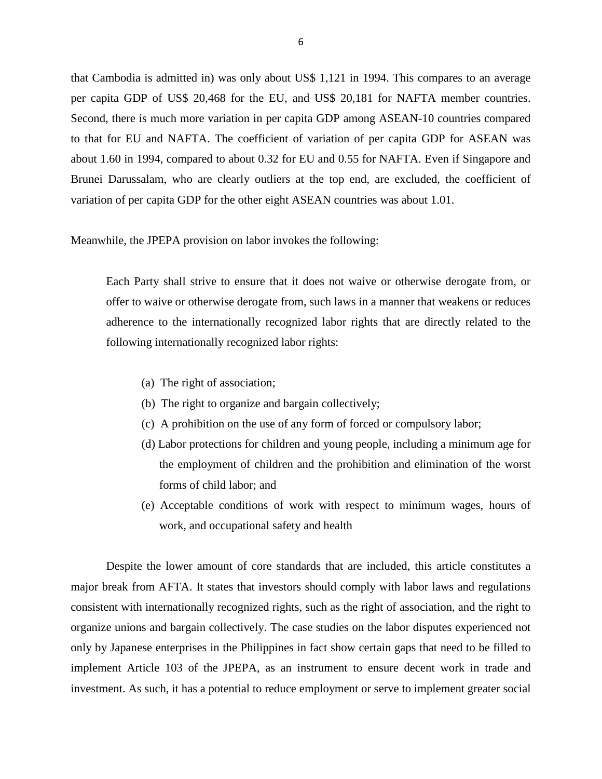that Cambodia is admitted in) was only about US\$ 1,121 in 1994. This compares to an average per capita GDP of US\$ 20,468 for the EU, and US\$ 20,181 for NAFTA member countries. Second, there is much more variation in per capita GDP among ASEAN-10 countries compared to that for EU and NAFTA. The coefficient of variation of per capita GDP for ASEAN was about 1.60 in 1994, compared to about 0.32 for EU and 0.55 for NAFTA. Even if Singapore and Brunei Darussalam, who are clearly outliers at the top end, are excluded, the coefficient of variation of per capita GDP for the other eight ASEAN countries was about 1.01.

## Meanwhile, the JPEPA provision on labor invokes the following:

Each Party shall strive to ensure that it does not waive or otherwise derogate from, or offer to waive or otherwise derogate from, such laws in a manner that weakens or reduces adherence to the internationally recognized labor rights that are directly related to the following internationally recognized labor rights:

- (a) The right of association;
- (b) The right to organize and bargain collectively;
- (c) A prohibition on the use of any form of forced or compulsory labor;
- (d) Labor protections for children and young people, including a minimum age for the employment of children and the prohibition and elimination of the worst forms of child labor; and
- (e) Acceptable conditions of work with respect to minimum wages, hours of work, and occupational safety and health

Despite the lower amount of core standards that are included, this article constitutes a major break from AFTA. It states that investors should comply with labor laws and regulations consistent with internationally recognized rights, such as the right of association, and the right to organize unions and bargain collectively. The case studies on the labor disputes experienced not only by Japanese enterprises in the Philippines in fact show certain gaps that need to be filled to implement Article 103 of the JPEPA, as an instrument to ensure decent work in trade and investment. As such, it has a potential to reduce employment or serve to implement greater social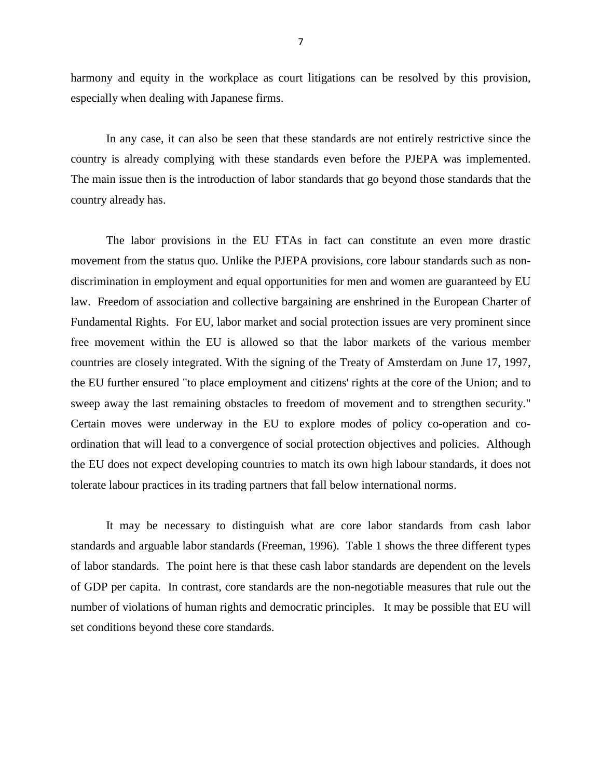harmony and equity in the workplace as court litigations can be resolved by this provision, especially when dealing with Japanese firms.

In any case, it can also be seen that these standards are not entirely restrictive since the country is already complying with these standards even before the PJEPA was implemented. The main issue then is the introduction of labor standards that go beyond those standards that the country already has.

The labor provisions in the EU FTAs in fact can constitute an even more drastic movement from the status quo. Unlike the PJEPA provisions, core labour standards such as nondiscrimination in employment and equal opportunities for men and women are guaranteed by EU law. Freedom of association and collective bargaining are enshrined in the European Charter of Fundamental Rights. For EU, labor market and social protection issues are very prominent since free movement within the EU is allowed so that the labor markets of the various member countries are closely integrated. With the signing of the Treaty of Amsterdam on June 17, 1997, the EU further ensured "to place employment and citizens' rights at the core of the Union; and to sweep away the last remaining obstacles to freedom of movement and to strengthen security." Certain moves were underway in the EU to explore modes of policy co-operation and coordination that will lead to a convergence of social protection objectives and policies. Although the EU does not expect developing countries to match its own high labour standards, it does not tolerate labour practices in its trading partners that fall below international norms.

It may be necessary to distinguish what are core labor standards from cash labor standards and arguable labor standards (Freeman, 1996). Table 1 shows the three different types of labor standards. The point here is that these cash labor standards are dependent on the levels of GDP per capita. In contrast, core standards are the non-negotiable measures that rule out the number of violations of human rights and democratic principles. It may be possible that EU will set conditions beyond these core standards.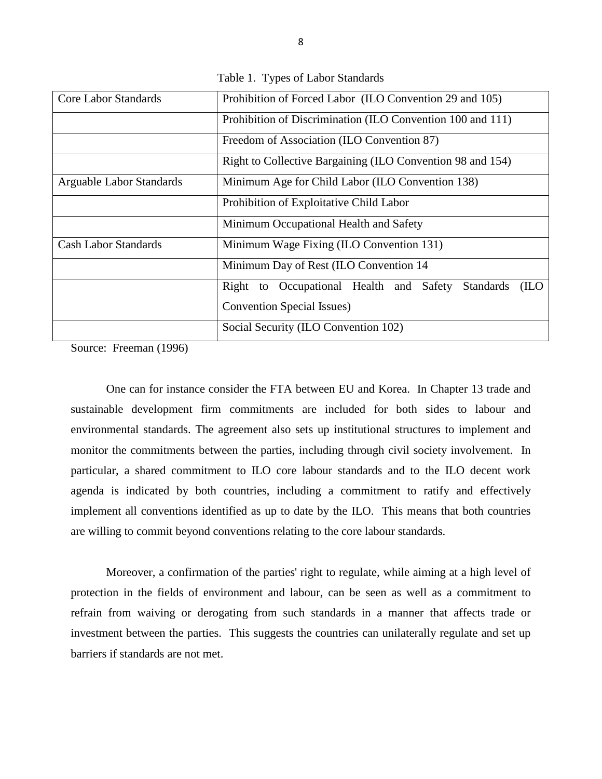| <b>Core Labor Standards</b> | Prohibition of Forced Labor (ILO Convention 29 and 105)              |  |  |  |  |  |  |  |
|-----------------------------|----------------------------------------------------------------------|--|--|--|--|--|--|--|
|                             | Prohibition of Discrimination (ILO Convention 100 and 111)           |  |  |  |  |  |  |  |
|                             | Freedom of Association (ILO Convention 87)                           |  |  |  |  |  |  |  |
|                             | Right to Collective Bargaining (ILO Convention 98 and 154)           |  |  |  |  |  |  |  |
| Arguable Labor Standards    | Minimum Age for Child Labor (ILO Convention 138)                     |  |  |  |  |  |  |  |
|                             | Prohibition of Exploitative Child Labor                              |  |  |  |  |  |  |  |
|                             | Minimum Occupational Health and Safety                               |  |  |  |  |  |  |  |
| <b>Cash Labor Standards</b> | Minimum Wage Fixing (ILO Convention 131)                             |  |  |  |  |  |  |  |
|                             | Minimum Day of Rest (ILO Convention 14                               |  |  |  |  |  |  |  |
|                             | Right to Occupational Health and Safety<br><b>Standards</b><br>(ILO) |  |  |  |  |  |  |  |
|                             | <b>Convention Special Issues</b> )                                   |  |  |  |  |  |  |  |
|                             | Social Security (ILO Convention 102)                                 |  |  |  |  |  |  |  |

Table 1. Types of Labor Standards

Source: Freeman (1996)

One can for instance consider the FTA between EU and Korea. In Chapter 13 trade and sustainable development firm commitments are included for both sides to labour and environmental standards. The agreement also sets up institutional structures to implement and monitor the commitments between the parties, including through civil society involvement. In particular, a shared commitment to ILO core labour standards and to the ILO decent work agenda is indicated by both countries, including a commitment to ratify and effectively implement all conventions identified as up to date by the ILO. This means that both countries are willing to commit beyond conventions relating to the core labour standards.

Moreover, a confirmation of the parties' right to regulate, while aiming at a high level of protection in the fields of environment and labour, can be seen as well as a commitment to refrain from waiving or derogating from such standards in a manner that affects trade or investment between the parties. This suggests the countries can unilaterally regulate and set up barriers if standards are not met.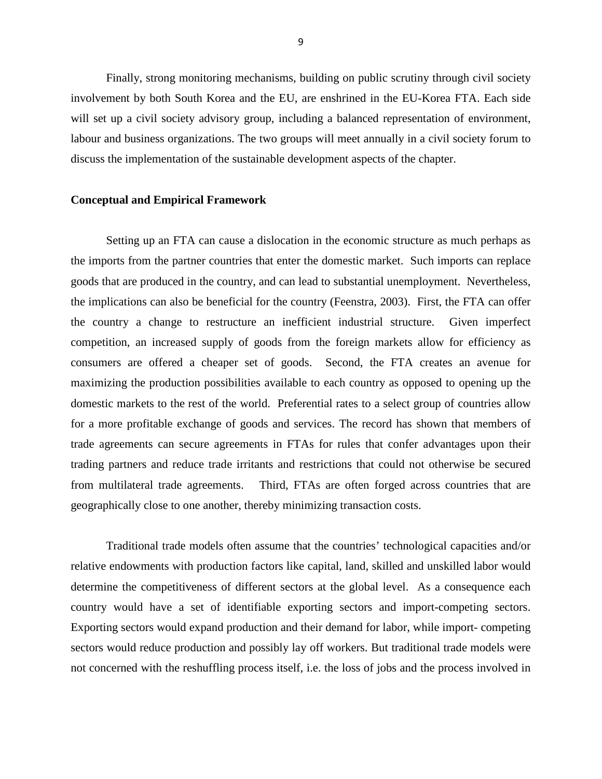Finally, strong monitoring mechanisms, building on public scrutiny through civil society involvement by both South Korea and the EU, are enshrined in the EU-Korea FTA. Each side will set up a civil society advisory group, including a balanced representation of environment, labour and business organizations. The two groups will meet annually in a civil society forum to discuss the implementation of the sustainable development aspects of the chapter.

#### **Conceptual and Empirical Framework**

Setting up an FTA can cause a dislocation in the economic structure as much perhaps as the imports from the partner countries that enter the domestic market. Such imports can replace goods that are produced in the country, and can lead to substantial unemployment. Nevertheless, the implications can also be beneficial for the country (Feenstra, 2003). First, the FTA can offer the country a change to restructure an inefficient industrial structure. Given imperfect competition, an increased supply of goods from the foreign markets allow for efficiency as consumers are offered a cheaper set of goods. Second, the FTA creates an avenue for maximizing the production possibilities available to each country as opposed to opening up the domestic markets to the rest of the world. Preferential rates to a select group of countries allow for a more profitable exchange of goods and services. The record has shown that members of trade agreements can secure agreements in FTAs for rules that confer advantages upon their trading partners and reduce trade irritants and restrictions that could not otherwise be secured from multilateral trade agreements. Third, FTAs are often forged across countries that are geographically close to one another, thereby minimizing transaction costs.

Traditional trade models often assume that the countries' technological capacities and/or relative endowments with production factors like capital, land, skilled and unskilled labor would determine the competitiveness of different sectors at the global level. As a consequence each country would have a set of identifiable exporting sectors and import-competing sectors. Exporting sectors would expand production and their demand for labor, while import- competing sectors would reduce production and possibly lay off workers. But traditional trade models were not concerned with the reshuffling process itself, i.e. the loss of jobs and the process involved in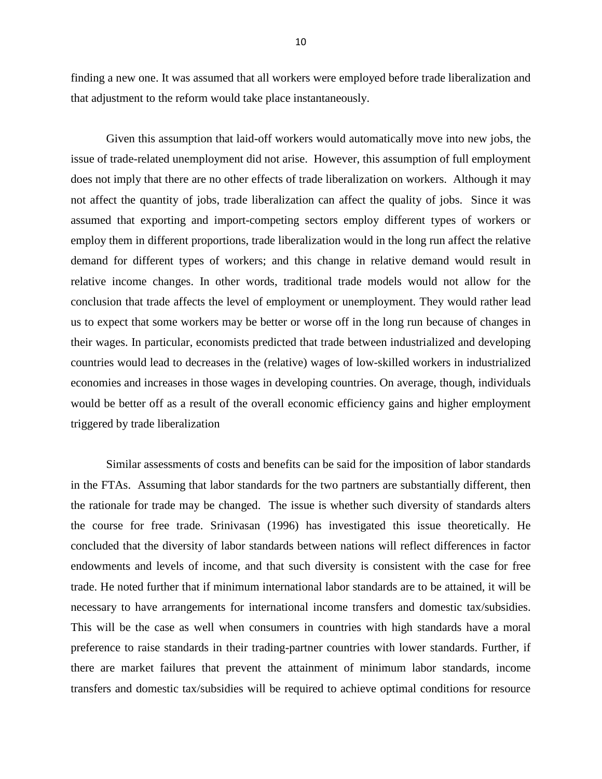finding a new one. It was assumed that all workers were employed before trade liberalization and that adjustment to the reform would take place instantaneously.

Given this assumption that laid-off workers would automatically move into new jobs, the issue of trade-related unemployment did not arise. However, this assumption of full employment does not imply that there are no other effects of trade liberalization on workers. Although it may not affect the quantity of jobs, trade liberalization can affect the quality of jobs. Since it was assumed that exporting and import-competing sectors employ different types of workers or employ them in different proportions, trade liberalization would in the long run affect the relative demand for different types of workers; and this change in relative demand would result in relative income changes. In other words, traditional trade models would not allow for the conclusion that trade affects the level of employment or unemployment. They would rather lead us to expect that some workers may be better or worse off in the long run because of changes in their wages. In particular, economists predicted that trade between industrialized and developing countries would lead to decreases in the (relative) wages of low-skilled workers in industrialized economies and increases in those wages in developing countries. On average, though, individuals would be better off as a result of the overall economic efficiency gains and higher employment triggered by trade liberalization

Similar assessments of costs and benefits can be said for the imposition of labor standards in the FTAs. Assuming that labor standards for the two partners are substantially different, then the rationale for trade may be changed. The issue is whether such diversity of standards alters the course for free trade. Srinivasan (1996) has investigated this issue theoretically. He concluded that the diversity of labor standards between nations will reflect differences in factor endowments and levels of income, and that such diversity is consistent with the case for free trade. He noted further that if minimum international labor standards are to be attained, it will be necessary to have arrangements for international income transfers and domestic tax/subsidies. This will be the case as well when consumers in countries with high standards have a moral preference to raise standards in their trading-partner countries with lower standards. Further, if there are market failures that prevent the attainment of minimum labor standards, income transfers and domestic tax/subsidies will be required to achieve optimal conditions for resource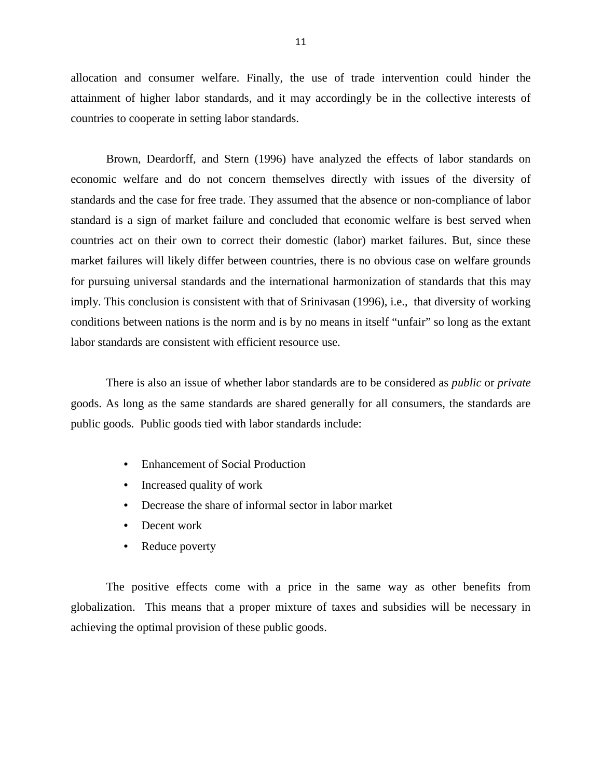allocation and consumer welfare. Finally, the use of trade intervention could hinder the attainment of higher labor standards, and it may accordingly be in the collective interests of countries to cooperate in setting labor standards.

Brown, Deardorff, and Stern (1996) have analyzed the effects of labor standards on economic welfare and do not concern themselves directly with issues of the diversity of standards and the case for free trade. They assumed that the absence or non-compliance of labor standard is a sign of market failure and concluded that economic welfare is best served when countries act on their own to correct their domestic (labor) market failures. But, since these market failures will likely differ between countries, there is no obvious case on welfare grounds for pursuing universal standards and the international harmonization of standards that this may imply. This conclusion is consistent with that of Srinivasan (1996), i.e., that diversity of working conditions between nations is the norm and is by no means in itself "unfair" so long as the extant labor standards are consistent with efficient resource use.

There is also an issue of whether labor standards are to be considered as *public* or *private*  goods. As long as the same standards are shared generally for all consumers, the standards are public goods. Public goods tied with labor standards include:

- Enhancement of Social Production
- Increased quality of work
- Decrease the share of informal sector in labor market
- Decent work
- Reduce poverty

The positive effects come with a price in the same way as other benefits from globalization. This means that a proper mixture of taxes and subsidies will be necessary in achieving the optimal provision of these public goods.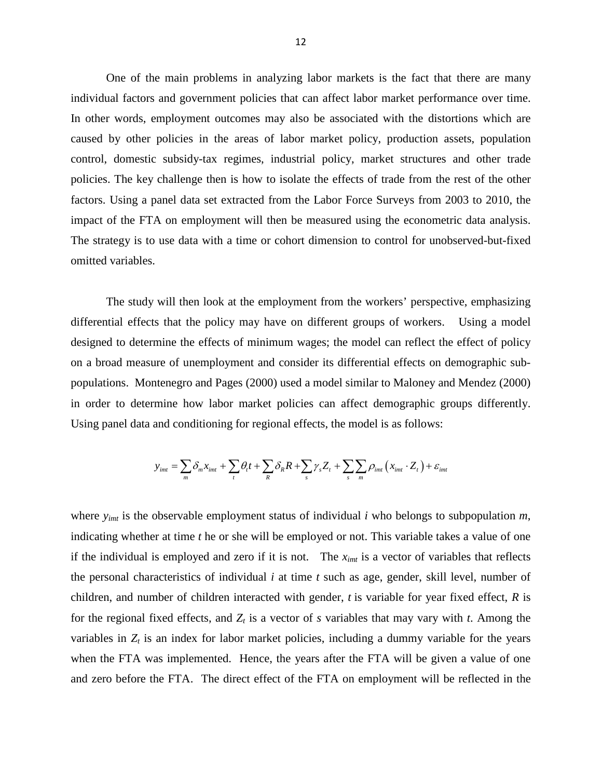One of the main problems in analyzing labor markets is the fact that there are many individual factors and government policies that can affect labor market performance over time. In other words, employment outcomes may also be associated with the distortions which are caused by other policies in the areas of labor market policy, production assets, population control, domestic subsidy-tax regimes, industrial policy, market structures and other trade policies. The key challenge then is how to isolate the effects of trade from the rest of the other factors. Using a panel data set extracted from the Labor Force Surveys from 2003 to 2010, the impact of the FTA on employment will then be measured using the econometric data analysis. The strategy is to use data with a time or cohort dimension to control for unobserved-but-fixed omitted variables.

The study will then look at the employment from the workers' perspective, emphasizing differential effects that the policy may have on different groups of workers. Using a model designed to determine the effects of minimum wages; the model can reflect the effect of policy on a broad measure of unemployment and consider its differential effects on demographic subpopulations. Montenegro and Pages (2000) used a model similar to Maloney and Mendez (2000) in order to determine how labor market policies can affect demographic groups differently. Using panel data and conditioning for regional effects, the model is as follows:

$$
y_{\text{im}t} = \sum_{m} \delta_m x_{\text{im}t} + \sum_{t} \theta_t t + \sum_{R} \delta_R R + \sum_{s} \gamma_s Z_t + \sum_{s} \sum_{m} \rho_{\text{im}t} \left( x_{\text{im}t} \cdot Z_t \right) + \varepsilon_{\text{im}t}
$$

where *yimt* is the observable employment status of individual *i* who belongs to subpopulation *m*, indicating whether at time *t* he or she will be employed or not. This variable takes a value of one if the individual is employed and zero if it is not. The *ximt* is a vector of variables that reflects the personal characteristics of individual *i* at time *t* such as age, gender, skill level, number of children, and number of children interacted with gender, *t* is variable for year fixed effect, *R* is for the regional fixed effects, and  $Z_t$  is a vector of *s* variables that may vary with *t*. Among the variables in  $Z_t$  is an index for labor market policies, including a dummy variable for the years when the FTA was implemented. Hence, the years after the FTA will be given a value of one and zero before the FTA. The direct effect of the FTA on employment will be reflected in the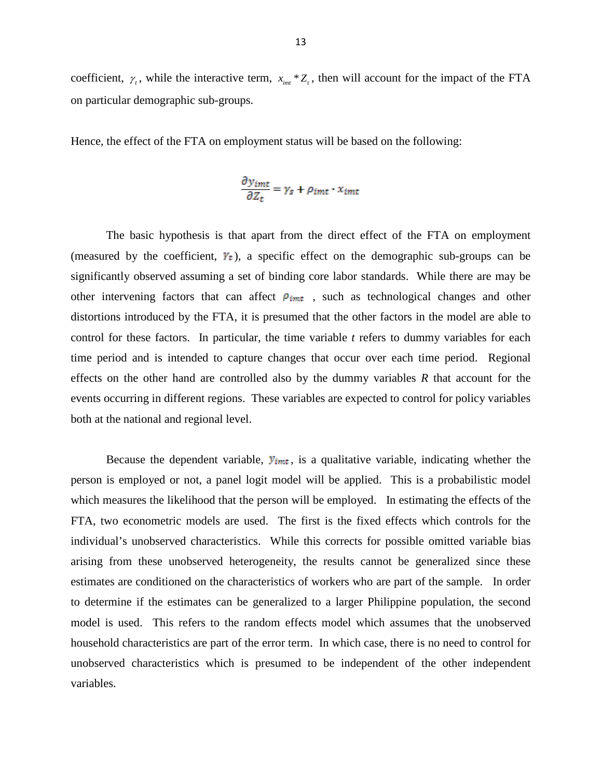coefficient,  $\gamma$ , while the interactive term,  $x_{int} * Z_t$ , then will account for the impact of the FTA on particular demographic sub-groups.

Hence, the effect of the FTA on employment status will be based on the following:

$$
\frac{\partial y_{imt}}{\partial Z_t} = \gamma_s + \rho_{imt} \cdot x_{imt}
$$

The basic hypothesis is that apart from the direct effect of the FTA on employment (measured by the coefficient,  $\mathbb{F}_t$ ), a specific effect on the demographic sub-groups can be significantly observed assuming a set of binding core labor standards. While there are may be other intervening factors that can affect  $\rho_{imt}$ , such as technological changes and other distortions introduced by the FTA, it is presumed that the other factors in the model are able to control for these factors. In particular, the time variable *t* refers to dummy variables for each time period and is intended to capture changes that occur over each time period. Regional effects on the other hand are controlled also by the dummy variables *R* that account for the events occurring in different regions. These variables are expected to control for policy variables both at the national and regional level.

Because the dependent variable,  $y_{imt}$ , is a qualitative variable, indicating whether the person is employed or not, a panel logit model will be applied. This is a probabilistic model which measures the likelihood that the person will be employed. In estimating the effects of the FTA, two econometric models are used. The first is the fixed effects which controls for the individual's unobserved characteristics. While this corrects for possible omitted variable bias arising from these unobserved heterogeneity, the results cannot be generalized since these estimates are conditioned on the characteristics of workers who are part of the sample. In order to determine if the estimates can be generalized to a larger Philippine population, the second model is used. This refers to the random effects model which assumes that the unobserved household characteristics are part of the error term. In which case, there is no need to control for unobserved characteristics which is presumed to be independent of the other independent variables.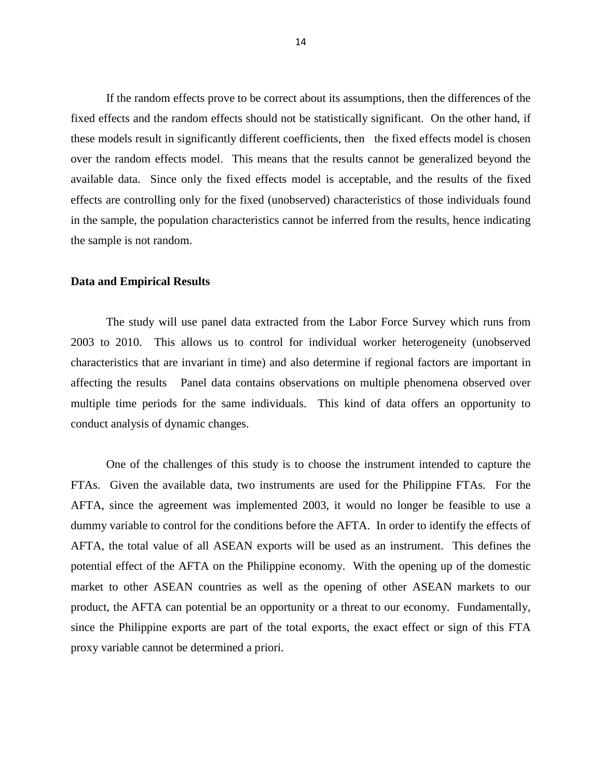If the random effects prove to be correct about its assumptions, then the differences of the fixed effects and the random effects should not be statistically significant. On the other hand, if these models result in significantly different coefficients, then the fixed effects model is chosen over the random effects model. This means that the results cannot be generalized beyond the available data. Since only the fixed effects model is acceptable, and the results of the fixed effects are controlling only for the fixed (unobserved) characteristics of those individuals found in the sample, the population characteristics cannot be inferred from the results, hence indicating the sample is not random.

#### **Data and Empirical Results**

The study will use panel data extracted from the Labor Force Survey which runs from 2003 to 2010. This allows us to control for individual worker heterogeneity (unobserved characteristics that are invariant in time) and also determine if regional factors are important in affecting the results Panel data contains observations on multiple phenomena observed over multiple time periods for the same individuals. This kind of data offers an opportunity to conduct analysis of dynamic changes.

One of the challenges of this study is to choose the instrument intended to capture the FTAs. Given the available data, two instruments are used for the Philippine FTAs. For the AFTA, since the agreement was implemented 2003, it would no longer be feasible to use a dummy variable to control for the conditions before the AFTA. In order to identify the effects of AFTA, the total value of all ASEAN exports will be used as an instrument. This defines the potential effect of the AFTA on the Philippine economy. With the opening up of the domestic market to other ASEAN countries as well as the opening of other ASEAN markets to our product, the AFTA can potential be an opportunity or a threat to our economy. Fundamentally, since the Philippine exports are part of the total exports, the exact effect or sign of this FTA proxy variable cannot be determined a priori.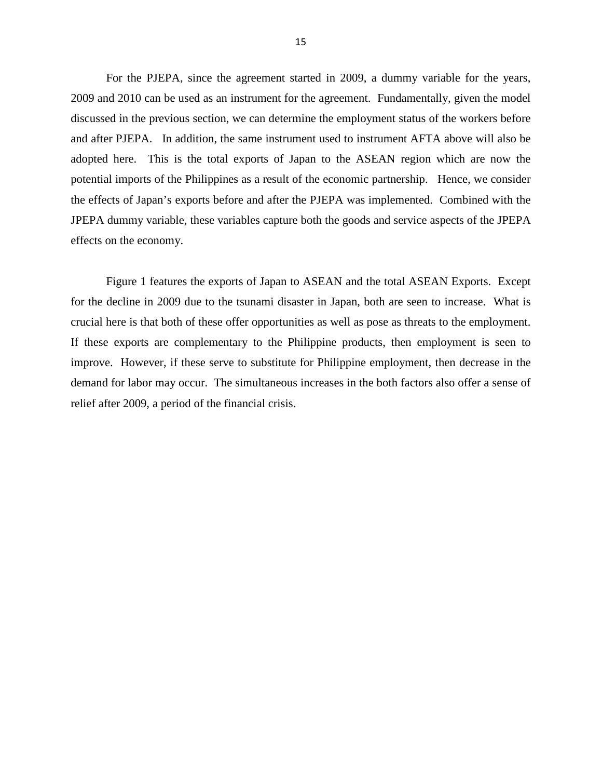For the PJEPA, since the agreement started in 2009, a dummy variable for the years, 2009 and 2010 can be used as an instrument for the agreement. Fundamentally, given the model discussed in the previous section, we can determine the employment status of the workers before and after PJEPA. In addition, the same instrument used to instrument AFTA above will also be adopted here. This is the total exports of Japan to the ASEAN region which are now the potential imports of the Philippines as a result of the economic partnership. Hence, we consider the effects of Japan's exports before and after the PJEPA was implemented. Combined with the JPEPA dummy variable, these variables capture both the goods and service aspects of the JPEPA effects on the economy.

Figure 1 features the exports of Japan to ASEAN and the total ASEAN Exports. Except for the decline in 2009 due to the tsunami disaster in Japan, both are seen to increase. What is crucial here is that both of these offer opportunities as well as pose as threats to the employment. If these exports are complementary to the Philippine products, then employment is seen to improve. However, if these serve to substitute for Philippine employment, then decrease in the demand for labor may occur. The simultaneous increases in the both factors also offer a sense of relief after 2009, a period of the financial crisis.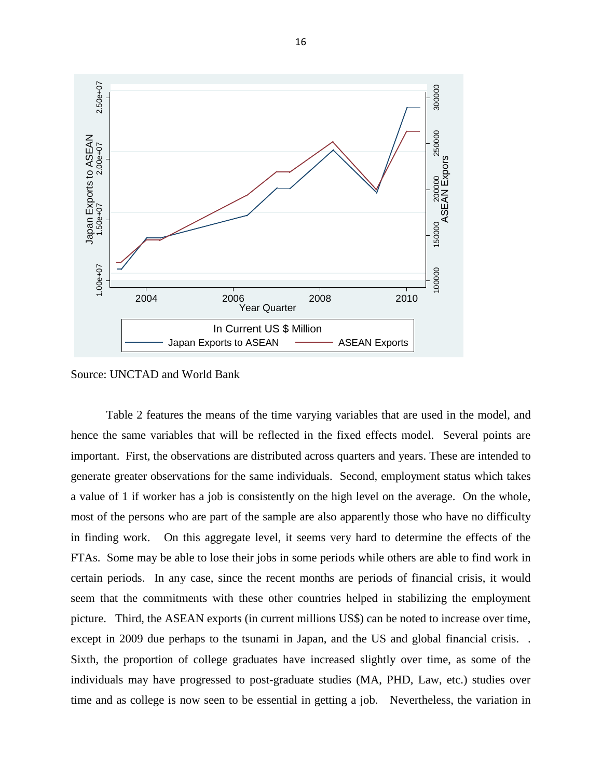

Source: UNCTAD and World Bank

Table 2 features the means of the time varying variables that are used in the model, and hence the same variables that will be reflected in the fixed effects model. Several points are important. First, the observations are distributed across quarters and years. These are intended to generate greater observations for the same individuals. Second, employment status which takes a value of 1 if worker has a job is consistently on the high level on the average. On the whole, most of the persons who are part of the sample are also apparently those who have no difficulty in finding work. On this aggregate level, it seems very hard to determine the effects of the FTAs. Some may be able to lose their jobs in some periods while others are able to find work in certain periods. In any case, since the recent months are periods of financial crisis, it would seem that the commitments with these other countries helped in stabilizing the employment picture. Third, the ASEAN exports (in current millions US\$) can be noted to increase over time, except in 2009 due perhaps to the tsunami in Japan, and the US and global financial crisis. . Sixth, the proportion of college graduates have increased slightly over time, as some of the individuals may have progressed to post-graduate studies (MA, PHD, Law, etc.) studies over time and as college is now seen to be essential in getting a job. Nevertheless, the variation in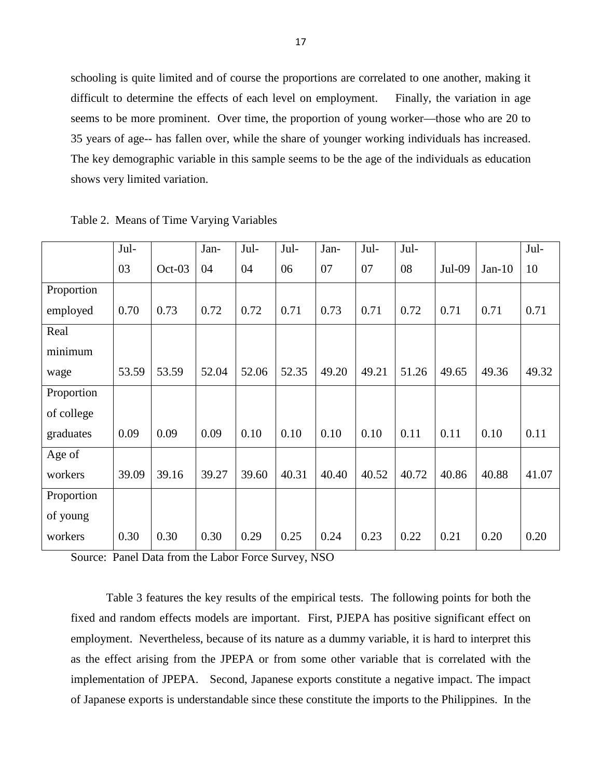schooling is quite limited and of course the proportions are correlated to one another, making it difficult to determine the effects of each level on employment. Finally, the variation in age seems to be more prominent. Over time, the proportion of young worker—those who are 20 to 35 years of age-- has fallen over, while the share of younger working individuals has increased. The key demographic variable in this sample seems to be the age of the individuals as education shows very limited variation.

|            | Jul-  |          | Jan-  | Jul-  | Jul-  | Jan-  | Jul-  | Jul-  |        |          | Jul-  |
|------------|-------|----------|-------|-------|-------|-------|-------|-------|--------|----------|-------|
|            | 03    | $Oct-03$ | 04    | 04    | 06    | 07    | 07    | 08    | Jul-09 | $Jan-10$ | 10    |
| Proportion |       |          |       |       |       |       |       |       |        |          |       |
| employed   | 0.70  | 0.73     | 0.72  | 0.72  | 0.71  | 0.73  | 0.71  | 0.72  | 0.71   | 0.71     | 0.71  |
| Real       |       |          |       |       |       |       |       |       |        |          |       |
| minimum    |       |          |       |       |       |       |       |       |        |          |       |
| wage       | 53.59 | 53.59    | 52.04 | 52.06 | 52.35 | 49.20 | 49.21 | 51.26 | 49.65  | 49.36    | 49.32 |
| Proportion |       |          |       |       |       |       |       |       |        |          |       |
| of college |       |          |       |       |       |       |       |       |        |          |       |
| graduates  | 0.09  | 0.09     | 0.09  | 0.10  | 0.10  | 0.10  | 0.10  | 0.11  | 0.11   | 0.10     | 0.11  |
| Age of     |       |          |       |       |       |       |       |       |        |          |       |
| workers    | 39.09 | 39.16    | 39.27 | 39.60 | 40.31 | 40.40 | 40.52 | 40.72 | 40.86  | 40.88    | 41.07 |
| Proportion |       |          |       |       |       |       |       |       |        |          |       |
| of young   |       |          |       |       |       |       |       |       |        |          |       |
| workers    | 0.30  | 0.30     | 0.30  | 0.29  | 0.25  | 0.24  | 0.23  | 0.22  | 0.21   | 0.20     | 0.20  |

Table 2. Means of Time Varying Variables

Source: Panel Data from the Labor Force Survey, NSO

Table 3 features the key results of the empirical tests. The following points for both the fixed and random effects models are important. First, PJEPA has positive significant effect on employment. Nevertheless, because of its nature as a dummy variable, it is hard to interpret this as the effect arising from the JPEPA or from some other variable that is correlated with the implementation of JPEPA. Second, Japanese exports constitute a negative impact. The impact of Japanese exports is understandable since these constitute the imports to the Philippines. In the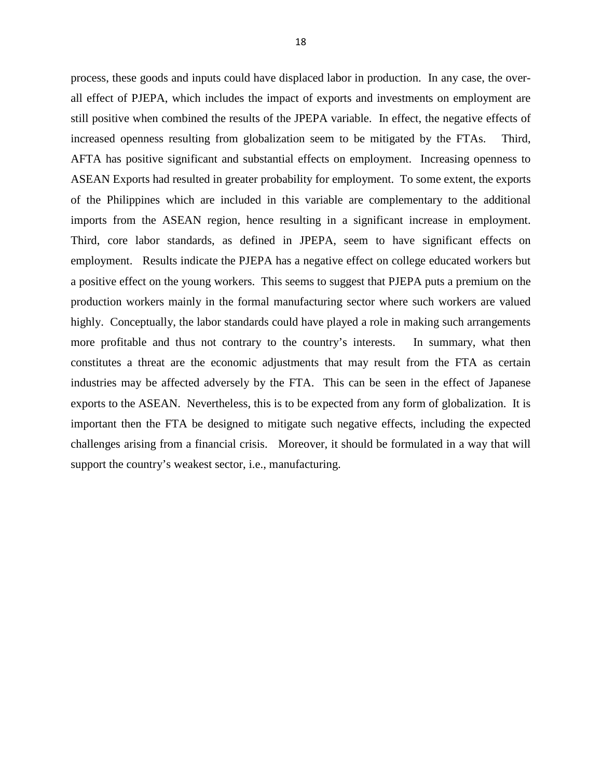process, these goods and inputs could have displaced labor in production. In any case, the overall effect of PJEPA, which includes the impact of exports and investments on employment are still positive when combined the results of the JPEPA variable. In effect, the negative effects of increased openness resulting from globalization seem to be mitigated by the FTAs. Third, AFTA has positive significant and substantial effects on employment. Increasing openness to ASEAN Exports had resulted in greater probability for employment. To some extent, the exports of the Philippines which are included in this variable are complementary to the additional imports from the ASEAN region, hence resulting in a significant increase in employment. Third, core labor standards, as defined in JPEPA, seem to have significant effects on employment. Results indicate the PJEPA has a negative effect on college educated workers but a positive effect on the young workers. This seems to suggest that PJEPA puts a premium on the production workers mainly in the formal manufacturing sector where such workers are valued highly. Conceptually, the labor standards could have played a role in making such arrangements more profitable and thus not contrary to the country's interests. In summary, what then constitutes a threat are the economic adjustments that may result from the FTA as certain industries may be affected adversely by the FTA. This can be seen in the effect of Japanese exports to the ASEAN. Nevertheless, this is to be expected from any form of globalization. It is important then the FTA be designed to mitigate such negative effects, including the expected challenges arising from a financial crisis. Moreover, it should be formulated in a way that will support the country's weakest sector, i.e., manufacturing.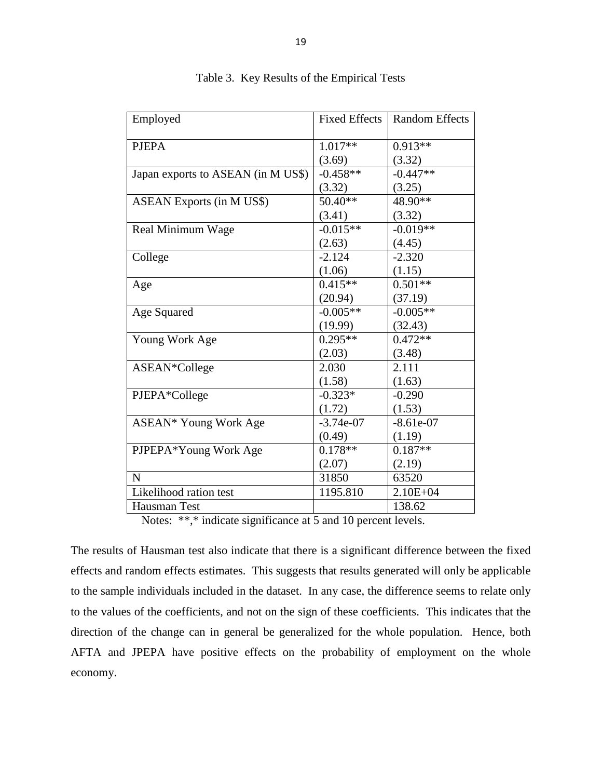| Employed                           | Fixed Effects | <b>Random Effects</b> |
|------------------------------------|---------------|-----------------------|
|                                    |               |                       |
| <b>PJEPA</b>                       | $1.017**$     | $0.913**$             |
|                                    | (3.69)        | (3.32)                |
| Japan exports to ASEAN (in M US\$) | $-0.458**$    | $-0.447**$            |
|                                    | (3.32)        | (3.25)                |
| <b>ASEAN Exports (in M US\$)</b>   | 50.40**       | 48.90**               |
|                                    | (3.41)        | (3.32)                |
| Real Minimum Wage                  | $-0.015**$    | $-0.019**$            |
|                                    | (2.63)        | (4.45)                |
| College                            | $-2.124$      | $-2.320$              |
|                                    | (1.06)        | (1.15)                |
| Age                                | $0.415**$     | $0.501**$             |
|                                    | (20.94)       | (37.19)               |
| Age Squared                        | $-0.005**$    | $-0.005**$            |
|                                    | (19.99)       | (32.43)               |
| Young Work Age                     | $0.295**$     | $0.472**$             |
|                                    | (2.03)        | (3.48)                |
| ASEAN*College                      | 2.030         | 2.111                 |
|                                    | (1.58)        | (1.63)                |
| PJEPA*College                      | $-0.323*$     | $-0.290$              |
|                                    | (1.72)        | (1.53)                |
| ASEAN* Young Work Age              | $-3.74e-07$   | $-8.61e-07$           |
|                                    | (0.49)        | (1.19)                |
| PJPEPA*Young Work Age              | $0.178**$     | $0.187**$             |
|                                    | (2.07)        | (2.19)                |
| $\mathbf N$                        | 31850         | 63520                 |
| Likelihood ration test             | 1195.810      | $2.10E + 04$          |
| Hausman Test                       |               | 138.62                |
| $\cdot$ $\sim$                     |               |                       |

Table 3. Key Results of the Empirical Tests

Notes: \*\*,\* indicate significance at 5 and 10 percent levels.

The results of Hausman test also indicate that there is a significant difference between the fixed effects and random effects estimates. This suggests that results generated will only be applicable to the sample individuals included in the dataset. In any case, the difference seems to relate only to the values of the coefficients, and not on the sign of these coefficients. This indicates that the direction of the change can in general be generalized for the whole population. Hence, both AFTA and JPEPA have positive effects on the probability of employment on the whole economy.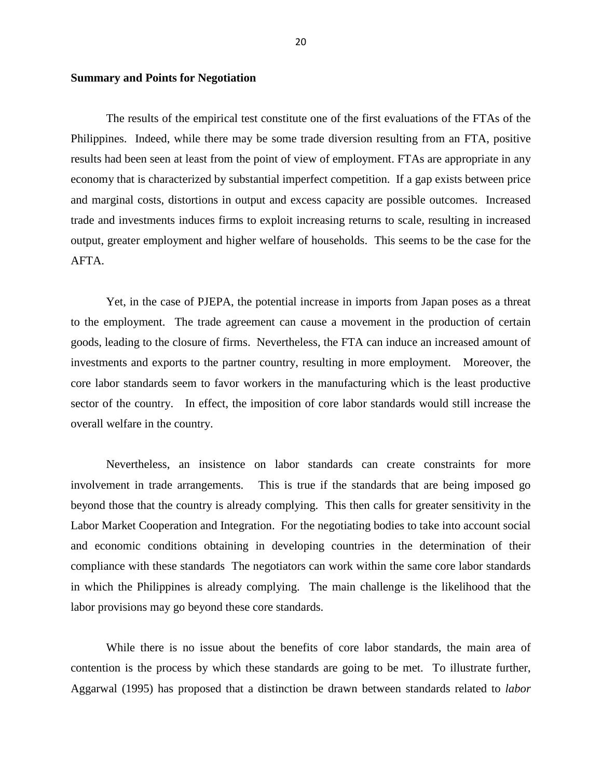# **Summary and Points for Negotiation**

The results of the empirical test constitute one of the first evaluations of the FTAs of the Philippines. Indeed, while there may be some trade diversion resulting from an FTA, positive results had been seen at least from the point of view of employment. FTAs are appropriate in any economy that is characterized by substantial imperfect competition. If a gap exists between price and marginal costs, distortions in output and excess capacity are possible outcomes. Increased trade and investments induces firms to exploit increasing returns to scale, resulting in increased output, greater employment and higher welfare of households. This seems to be the case for the AFTA.

Yet, in the case of PJEPA, the potential increase in imports from Japan poses as a threat to the employment. The trade agreement can cause a movement in the production of certain goods, leading to the closure of firms. Nevertheless, the FTA can induce an increased amount of investments and exports to the partner country, resulting in more employment. Moreover, the core labor standards seem to favor workers in the manufacturing which is the least productive sector of the country. In effect, the imposition of core labor standards would still increase the overall welfare in the country.

Nevertheless, an insistence on labor standards can create constraints for more involvement in trade arrangements. This is true if the standards that are being imposed go beyond those that the country is already complying. This then calls for greater sensitivity in the Labor Market Cooperation and Integration. For the negotiating bodies to take into account social and economic conditions obtaining in developing countries in the determination of their compliance with these standards The negotiators can work within the same core labor standards in which the Philippines is already complying. The main challenge is the likelihood that the labor provisions may go beyond these core standards.

While there is no issue about the benefits of core labor standards, the main area of contention is the process by which these standards are going to be met. To illustrate further, Aggarwal (1995) has proposed that a distinction be drawn between standards related to *labor*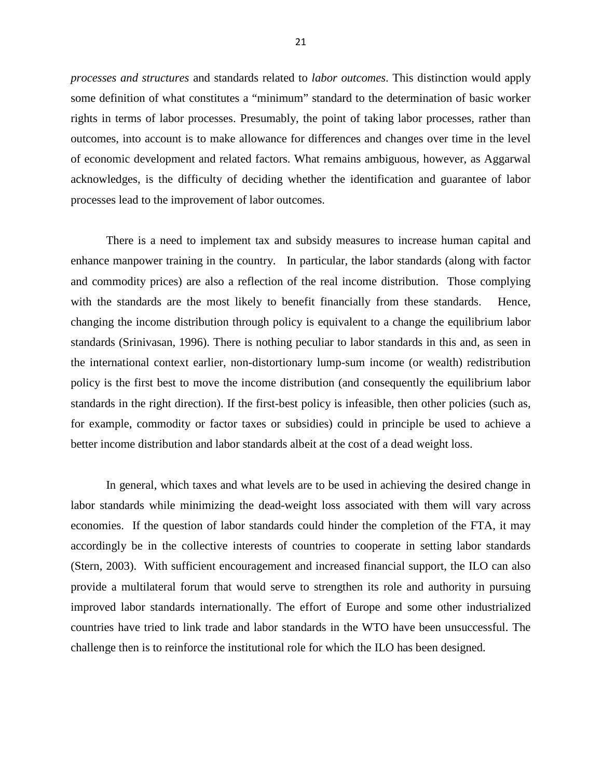*processes and structures* and standards related to *labor outcomes*. This distinction would apply some definition of what constitutes a "minimum" standard to the determination of basic worker rights in terms of labor processes. Presumably, the point of taking labor processes, rather than outcomes, into account is to make allowance for differences and changes over time in the level of economic development and related factors. What remains ambiguous, however, as Aggarwal acknowledges, is the difficulty of deciding whether the identification and guarantee of labor processes lead to the improvement of labor outcomes.

There is a need to implement tax and subsidy measures to increase human capital and enhance manpower training in the country. In particular, the labor standards (along with factor and commodity prices) are also a reflection of the real income distribution. Those complying with the standards are the most likely to benefit financially from these standards. Hence, changing the income distribution through policy is equivalent to a change the equilibrium labor standards (Srinivasan, 1996). There is nothing peculiar to labor standards in this and, as seen in the international context earlier, non-distortionary lump-sum income (or wealth) redistribution policy is the first best to move the income distribution (and consequently the equilibrium labor standards in the right direction). If the first-best policy is infeasible, then other policies (such as, for example, commodity or factor taxes or subsidies) could in principle be used to achieve a better income distribution and labor standards albeit at the cost of a dead weight loss.

In general, which taxes and what levels are to be used in achieving the desired change in labor standards while minimizing the dead-weight loss associated with them will vary across economies. If the question of labor standards could hinder the completion of the FTA, it may accordingly be in the collective interests of countries to cooperate in setting labor standards (Stern, 2003). With sufficient encouragement and increased financial support, the ILO can also provide a multilateral forum that would serve to strengthen its role and authority in pursuing improved labor standards internationally. The effort of Europe and some other industrialized countries have tried to link trade and labor standards in the WTO have been unsuccessful. The challenge then is to reinforce the institutional role for which the ILO has been designed.